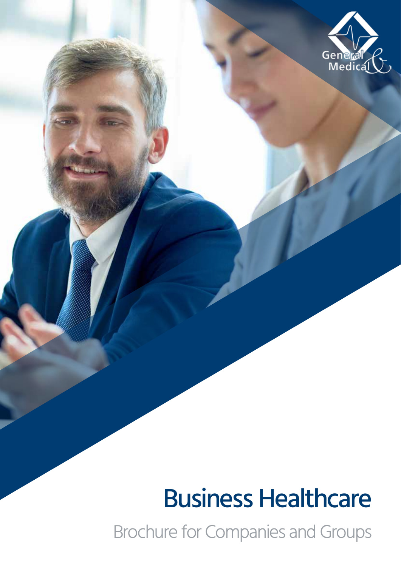

# Business Healthcare

Brochure for Companies and Groups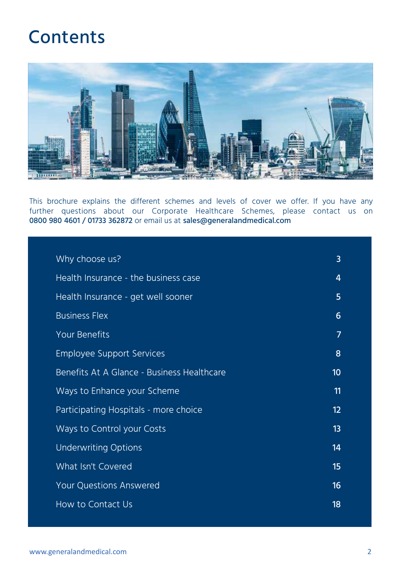### Contents



This brochure explains the different schemes and levels of cover we offer. If you have any further questions about our Corporate Healthcare Schemes, please contact us on 0800 980 4601 / 01733 362872 or email us at sales@generalandmedical.com

| Why choose us?                             | 3  |
|--------------------------------------------|----|
| Health Insurance - the business case       | 4  |
| Health Insurance - get well sooner         | 5  |
| <b>Business Flex</b>                       | 6  |
| <b>Your Benefits</b>                       | 7  |
| <b>Employee Support Services</b>           | 8  |
| Benefits At A Glance - Business Healthcare | 10 |
| Ways to Enhance your Scheme                | 11 |
| Participating Hospitals - more choice      | 12 |
| Ways to Control your Costs                 | 13 |
| <b>Underwriting Options</b>                | 14 |
| What Isn't Covered                         | 15 |
| <b>Your Questions Answered</b>             | 16 |
| How to Contact Us                          | 18 |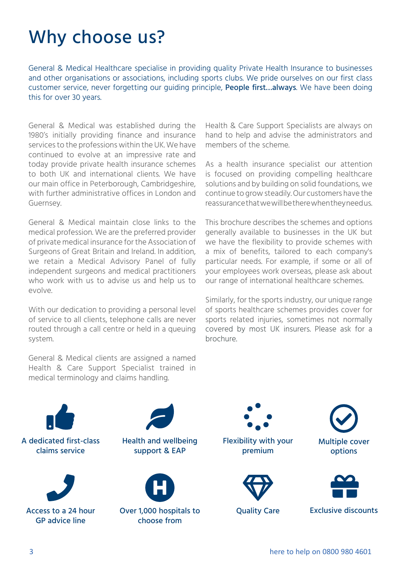## Why choose us?

General & Medical Healthcare specialise in providing quality Private Health Insurance to businesses and other organisations or associations, including sports clubs. We pride ourselves on our first class customer service, never forgetting our guiding principle, People first…always. We have been doing this for over 30 years.

General & Medical was established during the 1980's initially providing finance and insurance services to the professions within the UK. We have continued to evolve at an impressive rate and today provide private health insurance schemes to both UK and international clients. We have our main office in Peterborough, Cambridgeshire, with further administrative offices in London and Guernsey.

General & Medical maintain close links to the medical profession. We are the preferred provider of private medical insurance for the Association of Surgeons of Great Britain and Ireland. In addition, we retain a Medical Advisory Panel of fully independent surgeons and medical practitioners who work with us to advise us and help us to evolve.

With our dedication to providing a personal level of service to all clients, telephone calls are never routed through a call centre or held in a queuing system.

General & Medical clients are assigned a named Health & Care Support Specialist trained in medical terminology and claims handling.

Health & Care Support Specialists are always on hand to help and advise the administrators and members of the scheme.

As a health insurance specialist our attention is focused on providing compelling healthcare solutions and by building on solid foundations, we continue to grow steadily. Our customers have the reassurance that we will be there when they need us.

This brochure describes the schemes and options generally available to businesses in the UK but we have the flexibility to provide schemes with a mix of benefits, tailored to each company's particular needs. For example, if some or all of your employees work overseas, please ask about our range of international healthcare schemes.

Similarly, for the sports industry, our unique range of sports healthcare schemes provides cover for sports related injuries, sometimes not normally covered by most UK insurers. Please ask for a brochure.

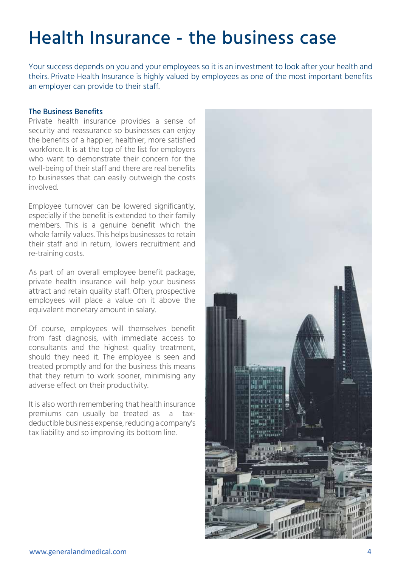## Health Insurance - the business case

Your success depends on you and your employees so it is an investment to look after your health and theirs. Private Health Insurance is highly valued by employees as one of the most important benefits an employer can provide to their staff.

### The Business Benefits

Private health insurance provides a sense of security and reassurance so businesses can enjoy the benefits of a happier, healthier, more satisfied workforce. It is at the top of the list for employers who want to demonstrate their concern for the well-being of their staff and there are real benefits to businesses that can easily outweigh the costs involved.

Employee turnover can be lowered significantly, especially if the benefit is extended to their family members. This is a genuine benefit which the whole family values. This helps businesses to retain their staff and in return, lowers recruitment and re-training costs.

As part of an overall employee benefit package, private health insurance will help your business attract and retain quality staff. Often, prospective employees will place a value on it above the equivalent monetary amount in salary.

Of course, employees will themselves benefit from fast diagnosis, with immediate access to consultants and the highest quality treatment, should they need it. The employee is seen and treated promptly and for the business this means that they return to work sooner, minimising any adverse effect on their productivity.

It is also worth remembering that health insurance premiums can usually be treated as a taxdeductible business expense, reducing a company's tax liability and so improving its bottom line.

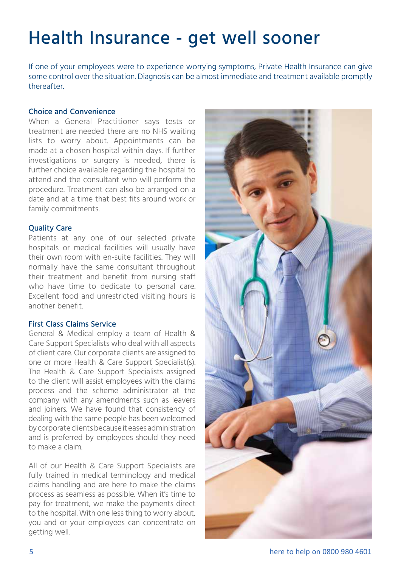## Health Insurance - get well sooner

If one of your employees were to experience worrying symptoms, Private Health Insurance can give some control over the situation. Diagnosis can be almost immediate and treatment available promptly thereafter.

### Choice and Convenience

When a General Practitioner says tests or treatment are needed there are no NHS waiting lists to worry about. Appointments can be made at a chosen hospital within days. If further investigations or surgery is needed, there is further choice available regarding the hospital to attend and the consultant who will perform the procedure. Treatment can also be arranged on a date and at a time that best fits around work or family commitments.

### Quality Care

Patients at any one of our selected private hospitals or medical facilities will usually have their own room with en-suite facilities. They will normally have the same consultant throughout their treatment and benefit from nursing staff who have time to dedicate to personal care. Excellent food and unrestricted visiting hours is another benefit.

### First Class Claims Service

General & Medical employ a team of Health & Care Support Specialists who deal with all aspects of client care. Our corporate clients are assigned to one or more Health & Care Support Specialist(s). The Health & Care Support Specialists assigned to the client will assist employees with the claims process and the scheme administrator at the company with any amendments such as leavers and joiners. We have found that consistency of dealing with the same people has been welcomed by corporate clients because it eases administration and is preferred by employees should they need to make a claim.

All of our Health & Care Support Specialists are fully trained in medical terminology and medical claims handling and are here to make the claims process as seamless as possible. When it's time to pay for treatment, we make the payments direct to the hospital. With one less thing to worry about, you and or your employees can concentrate on getting well.

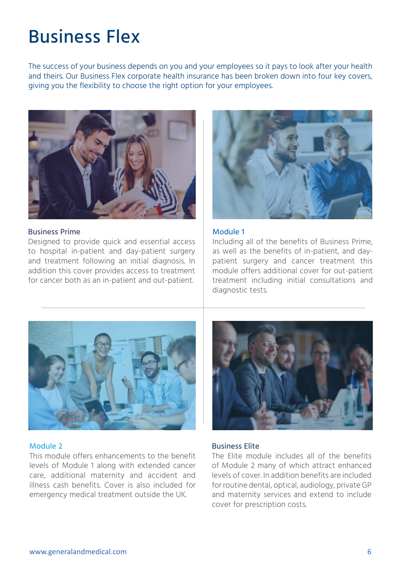## Business Flex

The success of your business depends on you and your employees so it pays to look after your health and theirs. Our Business Flex corporate health insurance has been broken down into four key covers, giving you the flexibility to choose the right option for your employees.



### Business Prime

Designed to provide quick and essential access to hospital in-patient and day-patient surgery and treatment following an initial diagnosis. In addition this cover provides access to treatment for cancer both as an in-patient and out-patient.



### Module 1

Including all of the benefits of Business Prime, as well as the benefits of in-patient, and daypatient surgery and cancer treatment this module offers additional cover for out-patient treatment including initial consultations and diagnostic tests.



### Module 2

This module offers enhancements to the benefit levels of Module 1 along with extended cancer care, additional maternity and accident and illness cash benefits. Cover is also included for emergency medical treatment outside the UK.



### Business Elite

The Elite module includes all of the benefits of Module 2 many of which attract enhanced levels of cover. In addition benefits are included for routine dental, optical, audiology, private GP and maternity services and extend to include cover for prescription costs.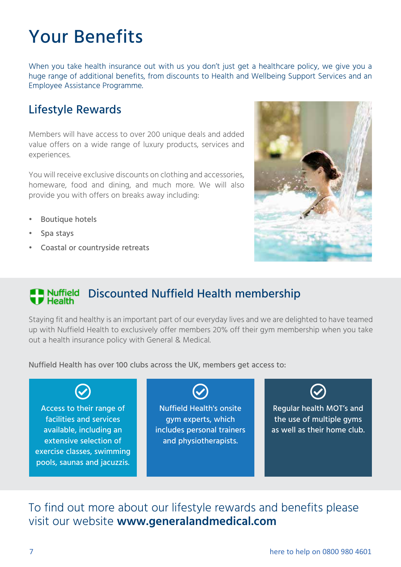## Your Benefits

When you take health insurance out with us you don't just get a healthcare policy, we give you a huge range of additional benefits, from discounts to Health and Wellbeing Support Services and an Employee Assistance Programme.

### Lifestyle Rewards

Members will have access to over 200 unique deals and added value offers on a wide range of luxury products, services and experiences.

You will receive exclusive discounts on clothing and accessories, homeware, food and dining, and much more. We will also provide you with offers on breaks away including:

- Boutique hotels
- Spa stays
- Coastal or countryside retreats



### **Discounted Nuffield Health membership F** Health

Staying fit and healthy is an important part of our everyday lives and we are delighted to have teamed up with Nuffield Health to exclusively offer members 20% off their gym membership when you take out a health insurance policy with General & Medical.

Nuffield Health has over 100 clubs across the UK, members get access to:

Access to their range of facilities and services available, including an extensive selection of exercise classes, swimming pools, saunas and jacuzzis. Nuffield Health's onsite gym experts, which includes personal trainers and physiotherapists.

Regular health MOT's and the use of multiple gyms as well as their home club.

To find out more about our lifestyle rewards and benefits please visit our website **www.generalandmedical.com**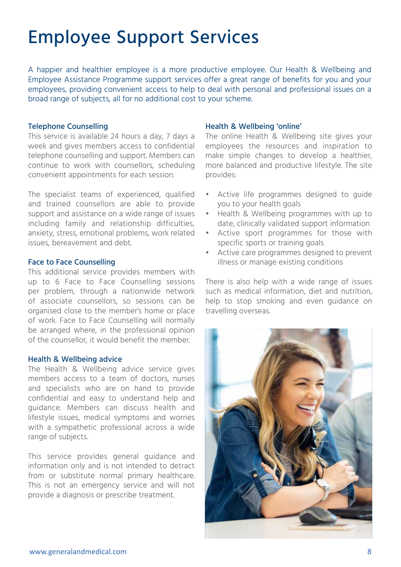## Employee Support Services

A happier and healthier employee is a more productive employee. Our Health & Wellbeing and Employee Assistance Programme support services offer a great range of benefits for you and your employees, providing convenient access to help to deal with personal and professional issues on a broad range of subjects, all for no additional cost to your scheme.

### Telephone Counselling

This service is available 24 hours a day, 7 days a week and gives members access to confidential telephone counselling and support. Members can continue to work with counsellors, scheduling convenient appointments for each session.

The specialist teams of experienced, qualified and trained counsellors are able to provide support and assistance on a wide range of issues including family and relationship difficulties, anxiety, stress, emotional problems, work related issues, bereavement and debt.

### Face to Face Counselling

This additional service provides members with up to 6 Face to Face Counselling sessions per problem, through a nationwide network of associate counsellors, so sessions can be organised close to the member's home or place of work. Face to Face Counselling will normally be arranged where, in the professional opinion of the counsellor, it would benefit the member.

### Health & Wellbeing advice

The Health & Wellbeing advice service gives members access to a team of doctors, nurses and specialists who are on hand to provide confidential and easy to understand help and guidance. Members can discuss health and lifestyle issues, medical symptoms and worries with a sympathetic professional across a wide range of subjects.

This service provides general guidance and information only and is not intended to detract from or substitute normal primary healthcare. This is not an emergency service and will not provide a diagnosis or prescribe treatment.

### Health & Wellbeing 'online'

The online Health & Wellbeing site gives your employees the resources and inspiration to make simple changes to develop a healthier, more balanced and productive lifestyle. The site provides:

- Active life programmes designed to guide you to your health goals
- Health & Wellbeing programmes with up to date, clinically validated support information
- Active sport programmes for those with specific sports or training goals
- Active care programmes designed to prevent illness or manage existing conditions

There is also help with a wide range of issues such as medical information, diet and nutrition, help to stop smoking and even guidance on travelling overseas.

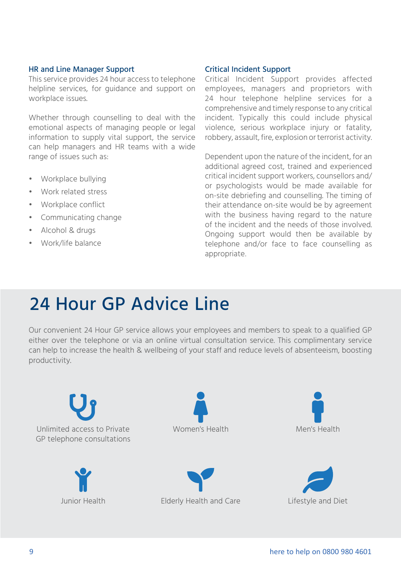### HR and Line Manager Support

This service provides 24 hour access to telephone helpline services, for guidance and support on workplace issues.

Whether through counselling to deal with the emotional aspects of managing people or legal information to supply vital support, the service can help managers and HR teams with a wide range of issues such as:

- Workplace bullying
- Work related stress
- Workplace conflict
- Communicating change
- Alcohol & drugs
- Work/life balance

### Critical Incident Support

Critical Incident Support provides affected employees, managers and proprietors with 24 hour telephone helpline services for a comprehensive and timely response to any critical incident. Typically this could include physical violence, serious workplace injury or fatality, robbery, assault, fire, explosion or terrorist activity.

Dependent upon the nature of the incident, for an additional agreed cost, trained and experienced critical incident support workers, counsellors and/ or psychologists would be made available for on-site debriefing and counselling. The timing of their attendance on-site would be by agreement with the business having regard to the nature of the incident and the needs of those involved. Ongoing support would then be available by telephone and/or face to face counselling as appropriate.

### 24 Hour GP Advice Line

Our convenient 24 Hour GP service allows your employees and members to speak to a qualified GP either over the telephone or via an online virtual consultation service. This complimentary service can help to increase the health & wellbeing of your staff and reduce levels of absenteeism, boosting productivity.

Unlimited access to Private GP telephone consultations Women's Health Men's Health Junior Health Elderly Health and Care Lifestyle and Diet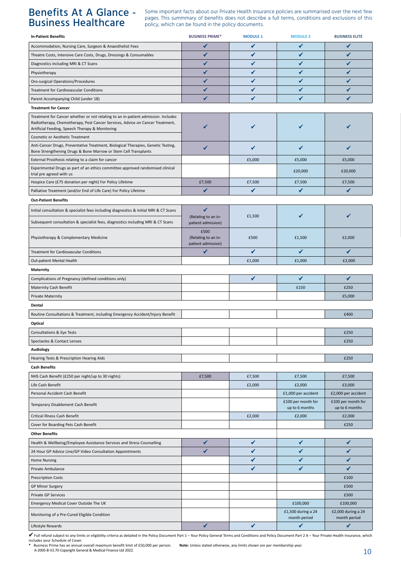### Benefits At A Glance - Business Healthcare

Some important facts about our Private Health Insurance policies are summarised over the next few pages. This summmary of benefits does not describe a full terms, conditions and exclusions of this policy, which can be found in the policy documents.

| <b>In-Patient Benefits</b>                                                                                                                                                                                            | <b>BUSINESS PRIME*</b>                            | <b>MODULE 1</b> | <b>MODULE 2</b>                      | <b>BUSINESS ELITE</b>                |  |
|-----------------------------------------------------------------------------------------------------------------------------------------------------------------------------------------------------------------------|---------------------------------------------------|-----------------|--------------------------------------|--------------------------------------|--|
| Accommodation, Nursing Care, Surgeon & Anaesthetist Fees                                                                                                                                                              | ✔                                                 | ✔               | $\checkmark$                         | ✔                                    |  |
| Theatre Costs, Intensive Care Costs, Drugs, Dressings & Consumables                                                                                                                                                   | ✔                                                 | ✔               | ✔                                    | ✓                                    |  |
| Diagnostics including MRI & CT Scans                                                                                                                                                                                  | ✔                                                 | ✔               | ✔                                    | ✔                                    |  |
| Physiotherapy                                                                                                                                                                                                         | ✓                                                 | ✔               | ✔                                    | ✔                                    |  |
| Oro-surgical Operations/Procedures                                                                                                                                                                                    | ✓                                                 | ✔               | ✔                                    | ✔                                    |  |
| Treatment for Cardiovascular Conditions                                                                                                                                                                               | ✔                                                 | ✔               | $\checkmark$                         | ✔                                    |  |
| Parent Accompanying Child (under 18)                                                                                                                                                                                  |                                                   |                 | ✔                                    |                                      |  |
| <b>Treatment for Cancer</b>                                                                                                                                                                                           |                                                   |                 |                                      |                                      |  |
| Treatment for Cancer whether or not relating to an in-patient admission. Includes<br>Radiotherapy, Chemotherapy, Post Cancer Services, Advice on Cancer Treatment,<br>Artificial Feeding, Speech Therapy & Monitoring |                                                   | ✔               |                                      |                                      |  |
| <b>Cosmetic or Aesthetic Treatment</b>                                                                                                                                                                                |                                                   |                 |                                      |                                      |  |
| Anti-Cancer Drugs, Preventative Treatment, Biological Therapies, Genetic Testing,<br>Bone Strengthening Drugs & Bone Marrow or Stem Cell Transplants                                                                  |                                                   | ✔               | ✔                                    | ✓                                    |  |
| External Prosthesis relating to a claim for cancer                                                                                                                                                                    |                                                   | £5,000          | £5,000                               | £5,000                               |  |
| Experimental Drugs as part of an ethics committee approved randomised clinical<br>trial pre agreed with us                                                                                                            |                                                   |                 | £20,000                              | £20,000                              |  |
| Hospice Care (£75 donation per night) For Policy Lifetime                                                                                                                                                             | £7,500                                            | £7,500          | £7,500                               | £7,500                               |  |
| Palliative Treatment (and/or End of Life Care) For Policy Lifetime                                                                                                                                                    | ✔                                                 | ✔               | $\checkmark$                         | ✔                                    |  |
| <b>Out-Patient Benefits</b>                                                                                                                                                                                           |                                                   |                 |                                      |                                      |  |
| Initial consultation & specialist fees including diagnostics & initial MRI & CT Scans                                                                                                                                 | ✔                                                 |                 |                                      |                                      |  |
| Subsequent consultation & specialist fees, diagnostics including MRI & CT Scans                                                                                                                                       | (Relating to an in-<br>patient admission)         | £1,500          |                                      |                                      |  |
| Physiotherapy & Complementary Medicine                                                                                                                                                                                | £500<br>(Relating to an in-<br>patient admission) | £500            | £1,500                               | £2,000                               |  |
| Treatment for Cardiovascular Conditions                                                                                                                                                                               | ✔                                                 | ✔               | $\checkmark$                         | ✔                                    |  |
| Out-patient Mental Health                                                                                                                                                                                             |                                                   | £1,000          | £1,000                               | £2,000                               |  |
| <b>Maternity</b>                                                                                                                                                                                                      |                                                   |                 |                                      |                                      |  |
| Complications of Pregnancy (defined conditions only)                                                                                                                                                                  |                                                   | $\checkmark$    | $\checkmark$                         | ✔                                    |  |
| Maternity Cash Benefit                                                                                                                                                                                                |                                                   |                 | £150                                 | £250                                 |  |
| <b>Private Maternity</b>                                                                                                                                                                                              |                                                   |                 |                                      | £5,000                               |  |
| Dental                                                                                                                                                                                                                |                                                   |                 |                                      |                                      |  |
| Routine Consultations & Treatment, including Emergency Accident/Injury Benefit                                                                                                                                        |                                                   |                 |                                      | £400                                 |  |
| Optical                                                                                                                                                                                                               |                                                   |                 |                                      |                                      |  |
| Consultations & Eye Tests                                                                                                                                                                                             |                                                   |                 |                                      | £250                                 |  |
| Spectacles & Contact Lenses                                                                                                                                                                                           |                                                   |                 |                                      | £250                                 |  |
| Audiology                                                                                                                                                                                                             |                                                   |                 |                                      |                                      |  |
| Hearing Tests & Prescription Hearing Aids                                                                                                                                                                             |                                                   |                 |                                      | £250                                 |  |
| <b>Cash Benefits</b>                                                                                                                                                                                                  |                                                   |                 |                                      |                                      |  |
| NHS Cash Benefit (£250 per night/up to 30 nights)                                                                                                                                                                     | £7,500                                            | £7,500          | £7,500                               | £7,500                               |  |
| Life Cash Benefit                                                                                                                                                                                                     |                                                   | £2,000          | £2,000                               | £3,000                               |  |
| Personal Accident Cash Benefit                                                                                                                                                                                        |                                                   |                 | £1,000 per accident                  | £2,000 per accident                  |  |
| Temporary Disablement Cash Benefit                                                                                                                                                                                    |                                                   |                 | £100 per month for<br>up to 6 months | £100 per month for<br>up to 6 months |  |
| Critical Illness Cash Benefit                                                                                                                                                                                         |                                                   | £2,000          | £2,000                               | £2,000                               |  |
| Cover for Boarding Pets Cash Benefit                                                                                                                                                                                  |                                                   |                 |                                      | £250                                 |  |
| <b>Other Benefits</b>                                                                                                                                                                                                 |                                                   |                 |                                      |                                      |  |
| Health & Wellbeing/Employee Assistance Services and Stress Counselling                                                                                                                                                | ✔                                                 | ✔               | ✓                                    | ✔                                    |  |
| 24 Hour GP Advice Line/GP Video Consultation Appointments                                                                                                                                                             | ✔                                                 | ✔               | ✔                                    | ✔                                    |  |
| <b>Home Nursing</b>                                                                                                                                                                                                   |                                                   | ✔               | ✔                                    | ✔                                    |  |
| Private Ambulance                                                                                                                                                                                                     |                                                   | ✔               | $\checkmark$                         | ✔                                    |  |
| <b>Prescription Costs</b>                                                                                                                                                                                             |                                                   |                 |                                      | £100                                 |  |
| <b>GP Minor Surgery</b>                                                                                                                                                                                               |                                                   |                 |                                      | £500                                 |  |
| Private GP Services                                                                                                                                                                                                   |                                                   |                 |                                      | £500                                 |  |
| Emergency Medical Cover Outside The UK                                                                                                                                                                                |                                                   |                 | £100,000                             | £100,000                             |  |
|                                                                                                                                                                                                                       |                                                   |                 | £1,500 during a 24                   | £2,000 during a 24                   |  |
| Monitoring of a Pre-Cured Eligible Condition<br>Lifestyle Rewards                                                                                                                                                     | ✔                                                 | ✔               | month period<br>✔                    | month period<br>✔                    |  |
|                                                                                                                                                                                                                       |                                                   |                 |                                      |                                      |  |

 $\checkmark$  Full refund subject to any limits or eligibility criteria as detailed in the Policy Document Part 1 – Your Policy General Terms and Conditions and Policy Document Part 2 A – Your Private Health Insurance, which<br>incl

\* Business Prime has an annual overall maximum benefit limit of £50,000 per person. Note: Unless stated otherwise, any limits shown are per membership year.<br>A-2005-B-V2.70 Copyright General & Medical Finance Ltd 2022.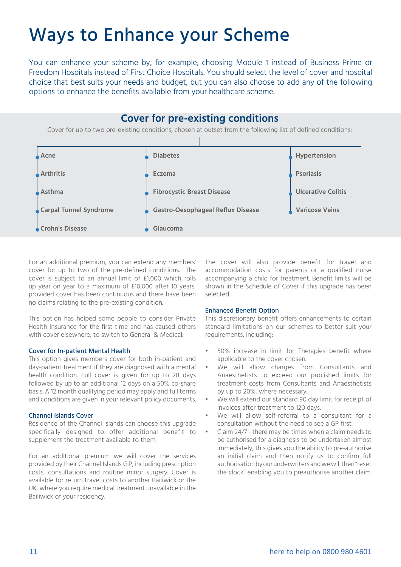### Ways to Enhance your Scheme

You can enhance your scheme by, for example, choosing Module 1 instead of Business Prime or Freedom Hospitals instead of First Choice Hospitals. You should select the level of cover and hospital choice that best suits your needs and budget, but you can also choose to add any of the following options to enhance the benefits available from your healthcare scheme.

### **Cover for pre-existing conditions**

Cover for up to two pre-existing conditions, chosen at outset from the following list of defined conditions:



For an additional premium, you can extend any members' cover for up to two of the pre-defined conditions. The cover is subject to an annual limit of £1,000 which rolls up year on year to a maximum of £10,000 after 10 years, provided cover has been continuous and there have been no claims relating to the pre-existing condition.

This option has helped some people to consider Private Health Insurance for the first time and has caused others with cover elsewhere, to switch to General & Medical.

#### Cover for In-patient Mental Health

This option gives members cover for both in-patient and day-patient treatment if they are diagnosed with a mental health condition. Full cover is given for up to 28 days followed by up to an additional 12 days on a 50% co-share basis. A 12 month qualifying period may apply and full terms and conditions are given in your relevant policy documents.

#### Channel Islands Cover

Residence of the Channel Islands can choose this upgrade specifically designed to offer additional benefit to supplement the treatment available to them.

For an additional premium we will cover the services provided by their Channel Islands G.P, including prescription costs, consultations and routine minor surgery. Cover is available for return travel costs to another Bailiwick or the UK, where you require medical treatment unavailable in the Bailiwick of your residency.

The cover will also provide benefit for travel and accommodation costs for parents or a qualified nurse accompanying a child for treatment. Benefit limits will be shown in the Schedule of Cover if this upgrade has been selected.

#### Enhanced Benefit Option

This discretionary benefit offers enhancements to certain standard limitations on our schemes to better suit your requirements, including:

- 50% increase in limit for Therapies benefit where applicable to the cover chosen.
- We will allow charges from Consultants and Anaesthetists to exceed our published limits for treatment costs from Consultants and Anaesthetists by up to 20%, where necessary.
- We will extend our standard 90 day limit for receipt of invoices after treatment to 120 days.
- We will allow self-referral to a consultant for a consultation without the need to see a GP first.
- Claim 24/7 there may be times when a claim needs to be authorised for a diagnosis to be undertaken almost immediately, this gives you the ability to pre-authorise an initial claim and then notify us to confirm full authorisation by our underwriters and we will then "reset the clock'' enabling you to preauthorise another claim.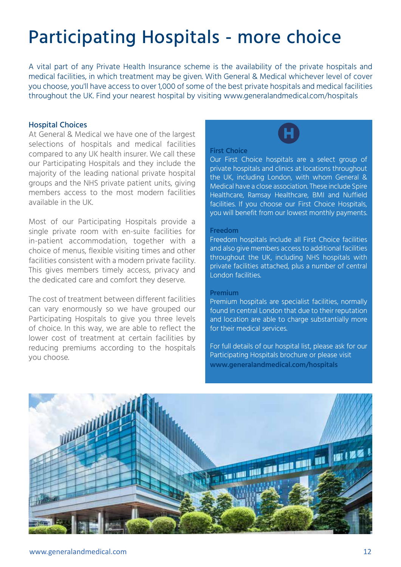## Participating Hospitals - more choice

A vital part of any Private Health Insurance scheme is the availability of the private hospitals and medical facilities, in which treatment may be given. With General & Medical whichever level of cover you choose, you'll have access to over 1,000 of some of the best private hospitals and medical facilities throughout the UK. Find your nearest hospital by visiting www.generalandmedical.com/hospitals

### Hospital Choices

At General & Medical we have one of the largest selections of hospitals and medical facilities compared to any UK health insurer. We call these our Participating Hospitals and they include the majority of the leading national private hospital groups and the NHS private patient units, giving members access to the most modern facilities available in the UK.

Most of our Participating Hospitals provide a single private room with en-suite facilities for in-patient accommodation, together with a choice of menus, flexible visiting times and other facilities consistent with a modern private facility. This gives members timely access, privacy and the dedicated care and comfort they deserve.

The cost of treatment between different facilities can vary enormously so we have grouped our Participating Hospitals to give you three levels of choice. In this way, we are able to reflect the lower cost of treatment at certain facilities by reducing premiums according to the hospitals you choose.

### **First Choice**

Our First Choice hospitals are a select group of private hospitals and clinics at locations throughout the UK, including London, with whom General & Medical have a close association. These include Spire Healthcare, Ramsay Healthcare, BMI and Nuffield facilities. If you choose our First Choice Hospitals, you will benefit from our lowest monthly payments.

### **Freedom**

Freedom hospitals include all First Choice facilities and also give members access to additional facilities throughout the UK, including NHS hospitals with private facilities attached, plus a number of central London facilities.

### **Premium**

Premium hospitals are specialist facilities, normally found in central London that due to their reputation and location are able to charge substantially more for their medical services.

For full details of our hospital list, please ask for our Participating Hospitals brochure or please visit **www.generalandmedical.com/hospitals**

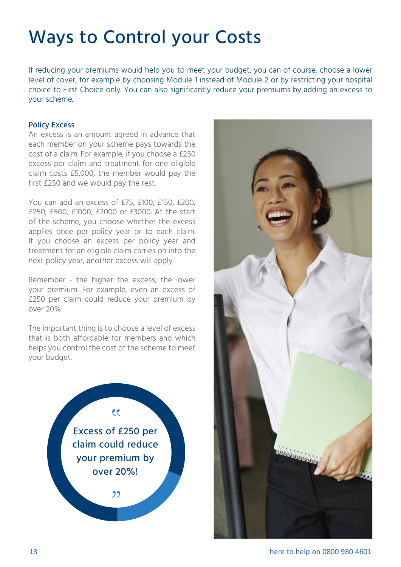## Ways to Control your Costs

If reducing your premiums would help you to meet your budget, you can of course, choose a lower level of cover, for example by choosing Module 1 instead of Module 2 or by restricting your hospital choice to First Choice only. You can also significantly reduce your premiums by adding an excess to your scheme.

### Policy Excess

An excess is an amount agreed in advance that each member on your scheme pays towards the cost of a claim. For example, if you choose a £250 excess per claim and treatment for one eligible claim costs £5,000, the member would pay the first £250 and we would pay the rest.

You can add an excess of £75, £100, £150, £200, £250, £500, £1000, £2000 or £3000. At the start of the scheme, you choose whether the excess applies once per policy year or to each claim. If you choose an excess per policy year and treatment for an eligible claim carries on into the next policy year, another excess will apply.

Remember - the higher the excess, the lower your premium. For example, even an excess of £250 per claim could reduce your premium by over 20%

The important thing is to choose a level of excess that is both affordable for members and which helps you control the cost of the scheme to meet your budget.



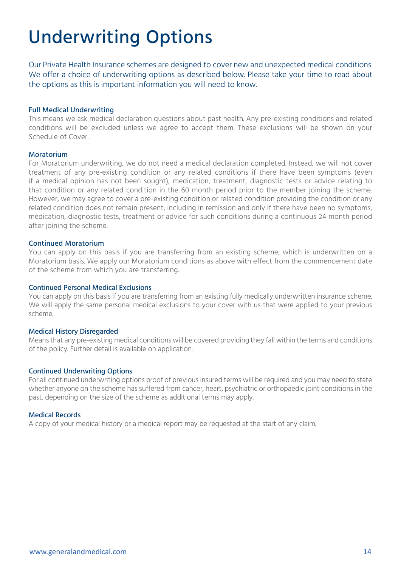## Underwriting Options

Our Private Health Insurance schemes are designed to cover new and unexpected medical conditions. We offer a choice of underwriting options as described below. Please take your time to read about the options as this is important information you will need to know.

### Full Medical Underwriting

This means we ask medical declaration questions about past health. Any pre-existing conditions and related conditions will be excluded unless we agree to accept them. These exclusions will be shown on your Schedule of Cover.

### Moratorium

For Moratorium underwriting, we do not need a medical declaration completed. Instead, we will not cover treatment of any pre-existing condition or any related conditions if there have been symptoms (even if a medical opinion has not been sought), medication, treatment, diagnostic tests or advice relating to that condition or any related condition in the 60 month period prior to the member joining the scheme. However, we may agree to cover a pre-existing condition or related condition providing the condition or any related condition does not remain present, including in remission and only if there have been no symptoms, medication, diagnostic tests, treatment or advice for such conditions during a continuous 24 month period after joining the scheme.

### Continued Moratorium

You can apply on this basis if you are transferring from an existing scheme, which is underwritten on a Moratorium basis. We apply our Moratorium conditions as above with effect from the commencement date of the scheme from which you are transferring.

### Continued Personal Medical Exclusions

You can apply on this basis if you are transferring from an existing fully medically underwritten insurance scheme. We will apply the same personal medical exclusions to your cover with us that were applied to your previous scheme.

### Medical History Disregarded

Means that any pre-existing medical conditions will be covered providing they fall within the terms and conditions of the policy. Further detail is available on application.

### Continued Underwriting Options

For all continued underwriting options proof of previous insured terms will be required and you may need to state whether anyone on the scheme has suffered from cancer, heart, psychiatric or orthopaedic joint conditions in the past, depending on the size of the scheme as additional terms may apply.

### Medical Records

A copy of your medical history or a medical report may be requested at the start of any claim.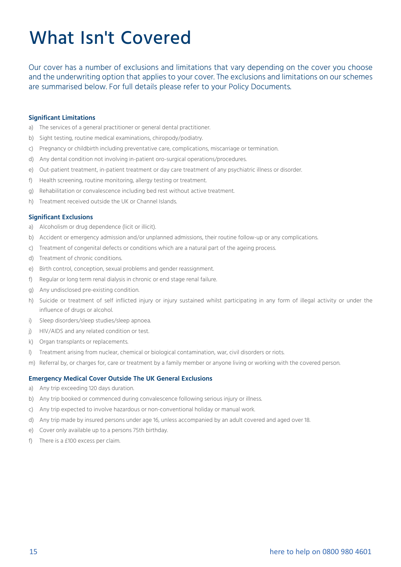## What Isn't Covered

Our cover has a number of exclusions and limitations that vary depending on the cover you choose and the underwriting option that applies to your cover. The exclusions and limitations on our schemes are summarised below. For full details please refer to your Policy Documents.

#### **Significant Limitations**

- a) The services of a general practitioner or general dental practitioner.
- b) Sight testing, routine medical examinations, chiropody/podiatry.
- c) Pregnancy or childbirth including preventative care, complications, miscarriage or termination.
- d) Any dental condition not involving in-patient oro-surgical operations/procedures.
- e) Out-patient treatment, in-patient treatment or day care treatment of any psychiatric illness or disorder.
- f) Health screening, routine monitoring, allergy testing or treatment.
- g) Rehabilitation or convalescence including bed rest without active treatment.
- h) Treatment received outside the UK or Channel Islands.

#### **Significant Exclusions**

- a) Alcoholism or drug dependence (licit or illicit).
- b) Accident or emergency admission and/or unplanned admissions, their routine follow-up or any complications.
- c) Treatment of congenital defects or conditions which are a natural part of the ageing process.
- d) Treatment of chronic conditions.
- e) Birth control, conception, sexual problems and gender reassignment.
- f) Regular or long term renal dialysis in chronic or end stage renal failure.
- g) Any undisclosed pre-existing condition.
- h) Suicide or treatment of self inflicted injury or injury sustained whilst participating in any form of illegal activity or under the influence of drugs or alcohol.
- i) Sleep disorders/sleep studies/sleep apnoea.
- j) HIV/AIDS and any related condition or test.
- k) Organ transplants or replacements.
- l) Treatment arising from nuclear, chemical or biological contamination, war, civil disorders or riots.
- m) Referral by, or charges for, care or treatment by a family member or anyone living or working with the covered person.

#### **Emergency Medical Cover Outside The UK General Exclusions**

- a) Any trip exceeding 120 days duration.
- b) Any trip booked or commenced during convalescence following serious injury or illness.
- c) Any trip expected to involve hazardous or non-conventional holiday or manual work.
- d) Any trip made by insured persons under age 16, unless accompanied by an adult covered and aged over 18.
- e) Cover only available up to a persons 75th birthday.
- f) There is a £100 excess per claim.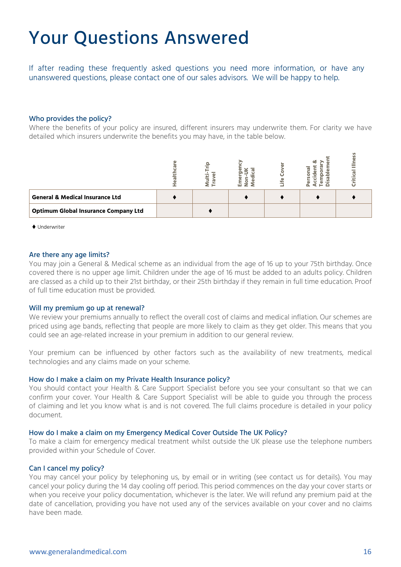### Your Questions Answered

If after reading these frequently asked questions you need more information, or have any unanswered questions, please contact one of our sales advisors. We will be happy to help.

#### Who provides the policy?

Where the benefits of your policy are insured, different insurers may underwrite them. For clarity we have detailed which insurers underwrite the benefits you may have, in the table below.

| <b>General &amp; Medical Insurance Ltd</b>  |  |  |  |
|---------------------------------------------|--|--|--|
| <b>Optimum Global Insurance Company Ltd</b> |  |  |  |

♦ Underwriter

#### Are there any age limits?

You may join a General & Medical scheme as an individual from the age of 16 up to your 75th birthday. Once covered there is no upper age limit. Children under the age of 16 must be added to an adults policy. Children are classed as a child up to their 21st birthday, or their 25th birthday if they remain in full time education. Proof of full time education must be provided.

#### Will my premium go up at renewal?

We review your premiums annually to reflect the overall cost of claims and medical inflation. Our schemes are priced using age bands, reflecting that people are more likely to claim as they get older. This means that you could see an age-related increase in your premium in addition to our general review.

Your premium can be influenced by other factors such as the availability of new treatments, medical technologies and any claims made on your scheme.

### How do I make a claim on my Private Health Insurance policy?

You should contact your Health & Care Support Specialist before you see your consultant so that we can confirm your cover. Your Health & Care Support Specialist will be able to guide you through the process of claiming and let you know what is and is not covered. The full claims procedure is detailed in your policy document.

#### How do I make a claim on my Emergency Medical Cover Outside The UK Policy?

To make a claim for emergency medical treatment whilst outside the UK please use the telephone numbers provided within your Schedule of Cover.

#### Can I cancel my policy?

You may cancel your policy by telephoning us, by email or in writing (see contact us for details). You may cancel your policy during the 14 day cooling off period. This period commences on the day your cover starts or when you receive your policy documentation, whichever is the later. We will refund any premium paid at the date of cancellation, providing you have not used any of the services available on your cover and no claims have been made.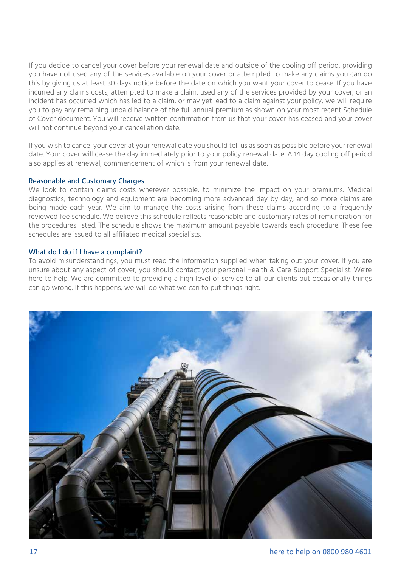If you decide to cancel your cover before your renewal date and outside of the cooling off period, providing you have not used any of the services available on your cover or attempted to make any claims you can do this by giving us at least 30 days notice before the date on which you want your cover to cease. If you have incurred any claims costs, attempted to make a claim, used any of the services provided by your cover, or an incident has occurred which has led to a claim, or may yet lead to a claim against your policy, we will require you to pay any remaining unpaid balance of the full annual premium as shown on your most recent Schedule of Cover document. You will receive written confirmation from us that your cover has ceased and your cover will not continue beyond your cancellation date.

If you wish to cancel your cover at your renewal date you should tell us as soon as possible before your renewal date. Your cover will cease the day immediately prior to your policy renewal date. A 14 day cooling off period also applies at renewal, commencement of which is from your renewal date.

### Reasonable and Customary Charges

We look to contain claims costs wherever possible, to minimize the impact on your premiums. Medical diagnostics, technology and equipment are becoming more advanced day by day, and so more claims are being made each year. We aim to manage the costs arising from these claims according to a frequently reviewed fee schedule. We believe this schedule reflects reasonable and customary rates of remuneration for the procedures listed. The schedule shows the maximum amount payable towards each procedure. These fee schedules are issued to all affiliated medical specialists.

### What do I do if I have a complaint?

To avoid misunderstandings, you must read the information supplied when taking out your cover. If you are unsure about any aspect of cover, you should contact your personal Health & Care Support Specialist. We're here to help. We are committed to providing a high level of service to all our clients but occasionally things can go wrong. If this happens, we will do what we can to put things right.

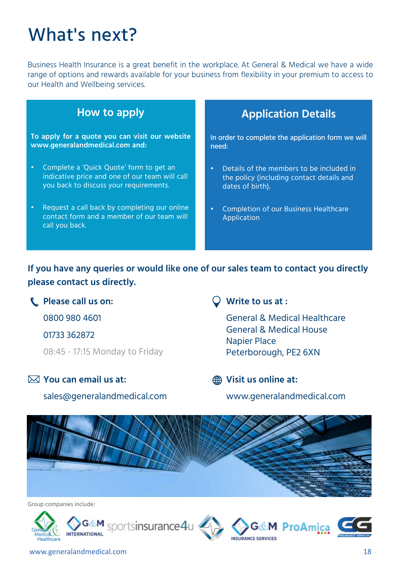## What's next?

Business Health Insurance is a great benefit in the workplace. At General & Medical we have a wide range of options and rewards available for your business from flexibility in your premium to access to our Health and Wellbeing services.

| How to apply                                                                                                                        | <b>Application Details</b>                                                                                             |  |  |  |
|-------------------------------------------------------------------------------------------------------------------------------------|------------------------------------------------------------------------------------------------------------------------|--|--|--|
| To apply for a quote you can visit our website<br>www.generalandmedical.com and:                                                    | In order to complete the application form we will<br>need:                                                             |  |  |  |
| Complete a 'Quick Quote' form to get an<br>indicative price and one of our team will call<br>you back to discuss your requirements. | Details of the members to be included in<br>$\bullet$<br>the policy (including contact details and<br>dates of birth). |  |  |  |
| Request a call back by completing our online<br>$\bullet$<br>contact form and a member of our team will<br>call you back.           | <b>Completion of our Business Healthcare</b><br>$\bullet$<br>Application                                               |  |  |  |

**If you have any queries or would like one of our sales team to contact you directly please contact us directly.**

**Please call us on:**

0800 980 4601

01733 362872

08:45 - 17:15 Monday to Friday

### **You can email us at:**

sales@generalandmedical.com

### **Write to us at :**

General & Medical Healthcare General & Medical House Napier Place Peterborough, PE2 6XN

### **Visit us online at:**

www.generalandmedical.com



Group companies include: